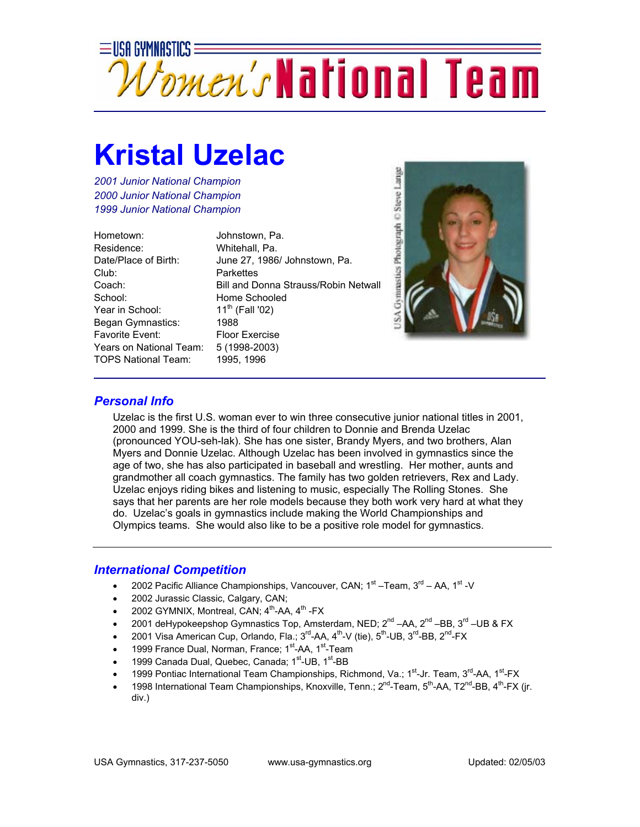

## **Kristal Uzelac**

*2001 Junior National Champion 2000 Junior National Champion 1999 Junior National Champion*

Hometown: Johnstown, Pa. Residence: Whitehall, Pa. Club: Parkettes School: Home Schooled Year in School:  $11^{th}$  (Fall '02) Began Gymnastics: 1988 Favorite Event: Floor Exercise Years on National Team: 5 (1998-2003) TOPS National Team: 1995, 1996

Date/Place of Birth: June 27, 1986/ Johnstown, Pa. Coach: Bill and Donna Strauss/Robin Netwall



## *Personal Info*

Uzelac is the first U.S. woman ever to win three consecutive junior national titles in 2001, 2000 and 1999. She is the third of four children to Donnie and Brenda Uzelac (pronounced YOU-seh-lak). She has one sister, Brandy Myers, and two brothers, Alan Myers and Donnie Uzelac. Although Uzelac has been involved in gymnastics since the age of two, she has also participated in baseball and wrestling. Her mother, aunts and grandmother all coach gymnastics. The family has two golden retrievers, Rex and Lady. Uzelac enjoys riding bikes and listening to music, especially The Rolling Stones. She says that her parents are her role models because they both work very hard at what they do. Uzelac's goals in gymnastics include making the World Championships and Olympics teams. She would also like to be a positive role model for gymnastics.

## *International Competition*

- 2002 Pacific Alliance Championships, Vancouver, CAN;  $1<sup>st</sup> Team$ ,  $3<sup>rd</sup> AA$ ,  $1<sup>st</sup> -V$
- 2002 Jurassic Classic, Calgary, CAN;
- 2002 GYMNIX, Montreal, CAN; 4<sup>th</sup>-AA, 4<sup>th</sup> -FX
- 2001 deHypokeepshop Gymnastics Top, Amsterdam, NED;  $2^{nd}$  –AA,  $2^{nd}$  –BB,  $3^{rd}$  –UB & FX
- 2001 Visa American Cup, Orlando, Fla.;  $3^{rd}$ -AA,  $4^{th}$ -V (tie),  $5^{th}$ -UB,  $3^{rd}$ -BB,  $2^{nd}$ -FX
- 1999 France Dual, Norman, France; 1<sup>st</sup>-AA, 1<sup>st</sup>-Team
- 1999 Canada Dual, Quebec, Canada; 1<sup>st</sup>-UB, 1<sup>st</sup>-BB
- 1999 Pontiac International Team Championships, Richmond, Va.; 1<sup>st</sup>-Jr. Team, 3<sup>rd</sup>-AA, 1<sup>st</sup>-FX
- 1998 International Team Championships, Knoxville, Tenn.; 2<sup>nd</sup>-Team, 5<sup>th</sup>-AA, T2<sup>nd</sup>-BB, 4<sup>th</sup>-FX (ir. div.)